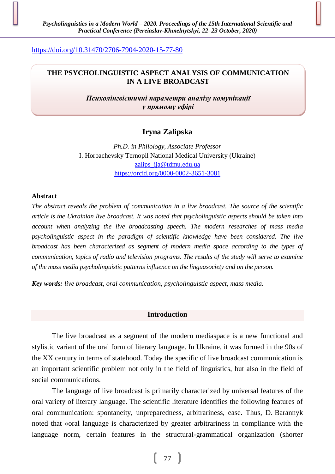<https://doi.org/10.31470/2706-7904-2020-15-77-80>

## **THE PSYCHOLINGUISTIC ASPECT ANALYSIS OF COMMUNICATION IN A LIVE BROADCAST**

*Психолінгвістичні параметри аналізу комунікації у прямому ефірі*

# **Iryna Zalipska**

*Ph.D. in Philology, Associate Professor* I. Horbachevsky Ternopil National Medical University (Ukraine) [zalips\\_ija@tdmu.edu.ua](mailto:zalips_ija@tdmu.edu.ua) <https://orcid.org/0000-0002-3651-3081>

#### **Abstract**

*The abstract reveals the problem of communication in a live broadcast. The source of the scientific article is the Ukrainian live broadcast. It was noted that psycholinguistic aspects should be taken into account when analyzing the live broadcasting speech. The modern researches of mass media psycholinguistic aspect in the paradigm of scientific knowledge have been considered. The live broadcast has been characterized as segment of modern media space according to the types of communication, topics of radio and television programs. The results of the study will serve to examine of the mass media psycholinguistic patterns influence on the linguasociety and on the person.*

*Key words: live broadcast, oral communication, psycholinguistic aspect, mass media.*

### **Introduction**

The live broadcast as a segment of the modern mediaspace is a new functional and stylistic variant of the oral form of literary language. In Ukraine, it was formed in the 90s of the XX century in terms of statehood. Today the specific of live broadcast communication is an important scientific problem not only in the field of linguistics, but also in the field of social communications.

The language of live broadcast is primarily characterized by universal features of the oral variety of literary language. The scientific literature identifies the following features of oral communication: spontaneity, unpreparedness, arbitrariness, ease. Thus, D. Barannyk noted that «oral language is characterized by greater arbitrariness in compliance with the language norm, certain features in the structural-grammatical organization (shorter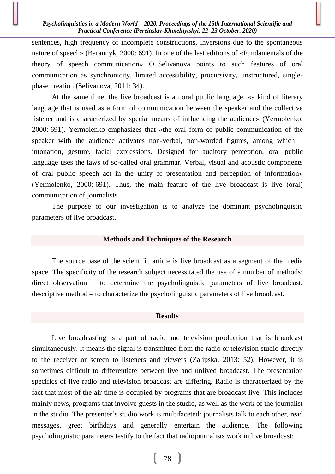#### *Psycholinguistics in a Modern World – 2020. Proceedings of the 15th International Scientific and Practical Conference (Pereiaslav-Khmelnytskyi, 22–23 October, 2020)*

sentences, high frequency of incomplete constructions, inversions due to the spontaneous nature of speech» (Barannyk, 2000: 691). In one of the last editions of «Fundamentals of the theory of speech communication» O. Selivanova points to such features of oral communication as synchronicity, limited accessibility, procursivity, unstructured, singlephase creation (Selivanova, 2011: 34).

At the same time, the live broadcast is an oral public language, «a kind of literary language that is used as a form of communication between the speaker and the collective listener and is characterized by special means of influencing the audience» (Yermolenko, 2000: 691). Yermolenko emphasizes that «the oral form of public communication of the speaker with the audience activates non-verbal, non-worded figures, among which – intonation, gesture, facial expressions. Designed for auditory perception, oral public language uses the laws of so-called oral grammar. Verbal, visual and acoustic components of oral public speech act in the unity of presentation and perception of information» (Yermolenko, 2000: 691). Thus, the main feature of the live broadcast is live (oral) communication of journalists.

The purpose of our investigation is to analyze the dominant psycholinguistic parameters of live broadcast.

## **Methods and Techniques of the Research**

The source base of the scientific article is live broadcast as a segment of the media space. The specificity of the research subject necessitated the use of a number of methods: direct observation – to determine the psycholinguistic parameters of live broadcast, descriptive method – to characterize the psycholinguistic parameters of live broadcast.

#### **Results**

Live broadcasting is a part of radio and television production that is broadcast simultaneously. It means the signal is transmitted from the radio or television studio directly to the receiver or screen to listeners and viewers (Zalipska, 2013: 52). However, it is sometimes difficult to differentiate between live and unlived broadcast. The presentation specifics of live radio and television broadcast are differing. Radio is characterized by the fact that most of the air time is occupied by programs that are broadcast live. This includes mainly news, programs that involve guests in the studio, as well as the work of the journalist in the studio. The presenter's studio work is multifaceted: journalists talk to each other, read messages, greet birthdays and generally entertain the audience. The following psycholinguistic parameters testify to the fact that radiojournalists work in live broadcast: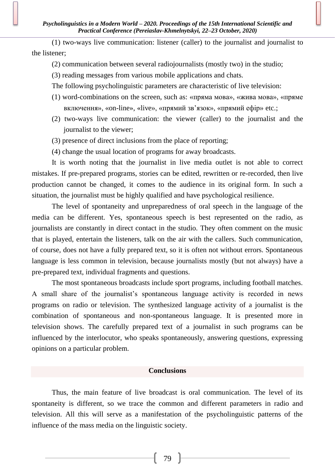(1) two-ways live communication: listener (caller) to the journalist and journalist to the listener;

(2) communication between several radiojournalists (mostly two) in the studio;

(3) reading messages from various mobile applications and chats.

The following psycholinguistic parameters are characteristic of live television:

- (1) word-combinations on the screen, such as: «пряма мова», «жива мова», «пряме включення», «on-line», «live», «прямий зв'язок», «прямий ефір» etc.;
- (2) two-ways live communication: the viewer (caller) to the journalist and the journalist to the viewer;
- (3) presence of direct inclusions from the place of reporting;
- (4) change the usual location of programs for away broadcasts.

It is worth noting that the journalist in live media outlet is not able to correct mistakes. If pre-prepared programs, stories can be edited, rewritten or re-recorded, then live production cannot be changed, it comes to the audience in its original form. In such a situation, the journalist must be highly qualified and have psychological resilience.

The level of spontaneity and unpreparedness of oral speech in the language of the media can be different. Yes, spontaneous speech is best represented on the radio, as journalists are constantly in direct contact in the studio. They often comment on the music that is played, entertain the listeners, talk on the air with the callers. Such communication, of course, does not have a fully prepared text, so it is often not without errors. Spontaneous language is less common in television, because journalists mostly (but not always) have a pre-prepared text, individual fragments and questions.

The most spontaneous broadcasts include sport programs, including football matches. A small share of the journalist's spontaneous language activity is recorded in news programs on radio or television. The synthesized language activity of a journalist is the combination of spontaneous and non-spontaneous language. It is presented more in television shows. The carefully prepared text of a journalist in such programs can be influenced by the interlocutor, who speaks spontaneously, answering questions, expressing opinions on a particular problem.

## **Conclusions**

Thus, the main feature of live broadcast is oral communication. The level of its spontaneity is different, so we trace the common and different parameters in radio and television. All this will serve as a manifestation of the psycholinguistic patterns of the influence of the mass media on the linguistic society.